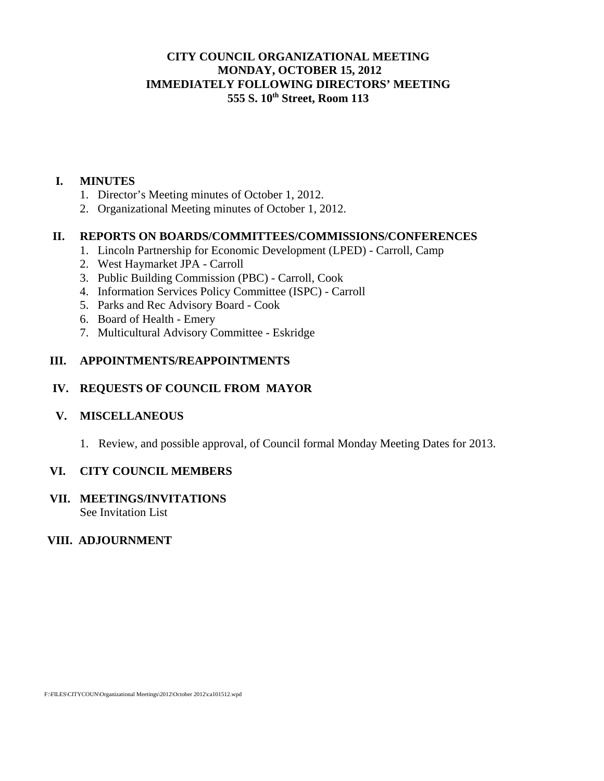## **CITY COUNCIL ORGANIZATIONAL MEETING MONDAY, OCTOBER 15, 2012 IMMEDIATELY FOLLOWING DIRECTORS' MEETING 555 S. 10th Street, Room 113**

#### **I. MINUTES**

- 1. Director's Meeting minutes of October 1, 2012.
- 2. Organizational Meeting minutes of October 1, 2012.

### **II. REPORTS ON BOARDS/COMMITTEES/COMMISSIONS/CONFERENCES**

- 1. Lincoln Partnership for Economic Development (LPED) Carroll, Camp
- 2. West Haymarket JPA Carroll
- 3. Public Building Commission (PBC) Carroll, Cook
- 4. Information Services Policy Committee (ISPC) Carroll
- 5. Parks and Rec Advisory Board Cook
- 6. Board of Health Emery
- 7. Multicultural Advisory Committee Eskridge

### **III. APPOINTMENTS/REAPPOINTMENTS**

# **IV. REQUESTS OF COUNCIL FROM MAYOR**

### **V. MISCELLANEOUS**

1. Review, and possible approval, of Council formal Monday Meeting Dates for 2013.

### **VI. CITY COUNCIL MEMBERS**

#### **VII. MEETINGS/INVITATIONS**  See Invitation List

### **VIII. ADJOURNMENT**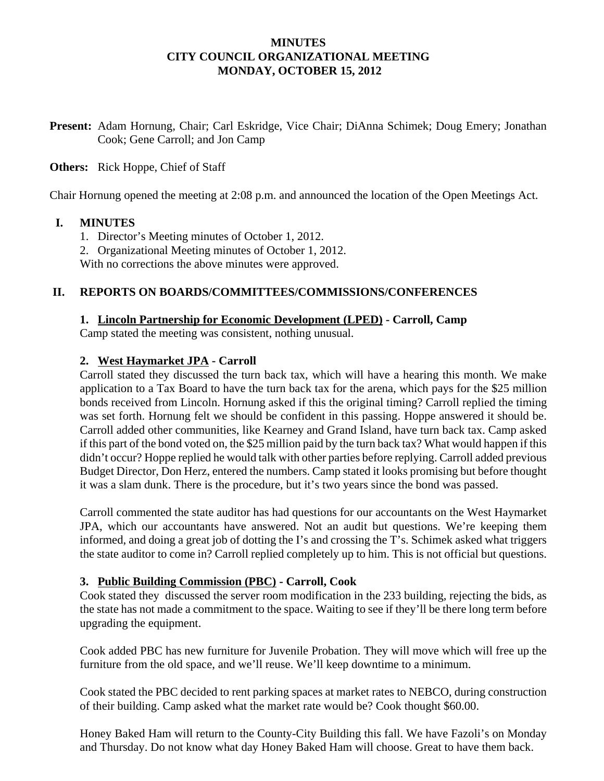## **MINUTES CITY COUNCIL ORGANIZATIONAL MEETING MONDAY, OCTOBER 15, 2012**

**Present:** Adam Hornung, Chair; Carl Eskridge, Vice Chair; DiAnna Schimek; Doug Emery; Jonathan Cook; Gene Carroll; and Jon Camp

### **Others:** Rick Hoppe, Chief of Staff

Chair Hornung opened the meeting at 2:08 p.m. and announced the location of the Open Meetings Act.

#### **I. MINUTES**

- 1. Director's Meeting minutes of October 1, 2012.
- 2. Organizational Meeting minutes of October 1, 2012.

With no corrections the above minutes were approved.

#### **II. REPORTS ON BOARDS/COMMITTEES/COMMISSIONS/CONFERENCES**

#### **1. Lincoln Partnership for Economic Development (LPED) - Carroll, Camp**

Camp stated the meeting was consistent, nothing unusual.

### **2. West Haymarket JPA - Carroll**

Carroll stated they discussed the turn back tax, which will have a hearing this month. We make application to a Tax Board to have the turn back tax for the arena, which pays for the \$25 million bonds received from Lincoln. Hornung asked if this the original timing? Carroll replied the timing was set forth. Hornung felt we should be confident in this passing. Hoppe answered it should be. Carroll added other communities, like Kearney and Grand Island, have turn back tax. Camp asked if this part of the bond voted on, the \$25 million paid by the turn back tax? What would happen if this didn't occur? Hoppe replied he would talk with other parties before replying. Carroll added previous Budget Director, Don Herz, entered the numbers. Camp stated it looks promising but before thought it was a slam dunk. There is the procedure, but it's two years since the bond was passed.

Carroll commented the state auditor has had questions for our accountants on the West Haymarket JPA, which our accountants have answered. Not an audit but questions. We're keeping them informed, and doing a great job of dotting the I's and crossing the T's. Schimek asked what triggers the state auditor to come in? Carroll replied completely up to him. This is not official but questions.

#### **3. Public Building Commission (PBC) - Carroll, Cook**

Cook stated they discussed the server room modification in the 233 building, rejecting the bids, as the state has not made a commitment to the space. Waiting to see if they'll be there long term before upgrading the equipment.

Cook added PBC has new furniture for Juvenile Probation. They will move which will free up the furniture from the old space, and we'll reuse. We'll keep downtime to a minimum.

Cook stated the PBC decided to rent parking spaces at market rates to NEBCO, during construction of their building. Camp asked what the market rate would be? Cook thought \$60.00.

Honey Baked Ham will return to the County-City Building this fall. We have Fazoli's on Monday and Thursday. Do not know what day Honey Baked Ham will choose. Great to have them back.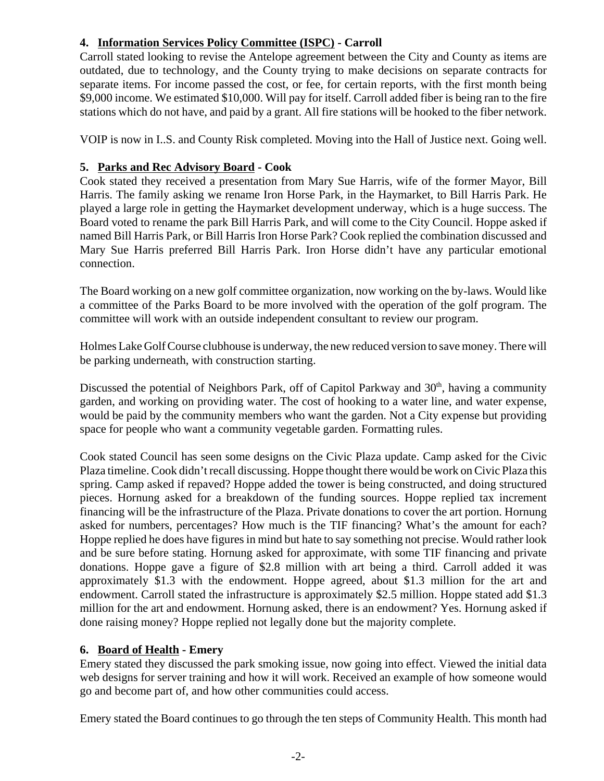# **4. Information Services Policy Committee (ISPC) - Carroll**

Carroll stated looking to revise the Antelope agreement between the City and County as items are outdated, due to technology, and the County trying to make decisions on separate contracts for separate items. For income passed the cost, or fee, for certain reports, with the first month being \$9,000 income. We estimated \$10,000. Will pay for itself. Carroll added fiber is being ran to the fire stations which do not have, and paid by a grant. All fire stations will be hooked to the fiber network.

VOIP is now in I..S. and County Risk completed. Moving into the Hall of Justice next. Going well.

# **5. Parks and Rec Advisory Board - Cook**

Cook stated they received a presentation from Mary Sue Harris, wife of the former Mayor, Bill Harris. The family asking we rename Iron Horse Park, in the Haymarket, to Bill Harris Park. He played a large role in getting the Haymarket development underway, which is a huge success. The Board voted to rename the park Bill Harris Park, and will come to the City Council. Hoppe asked if named Bill Harris Park, or Bill Harris Iron Horse Park? Cook replied the combination discussed and Mary Sue Harris preferred Bill Harris Park. Iron Horse didn't have any particular emotional connection.

The Board working on a new golf committee organization, now working on the by-laws. Would like a committee of the Parks Board to be more involved with the operation of the golf program. The committee will work with an outside independent consultant to review our program.

Holmes Lake Golf Course clubhouse is underway, the new reduced version to save money. There will be parking underneath, with construction starting.

Discussed the potential of Neighbors Park, off of Capitol Parkway and 30<sup>th</sup>, having a community garden, and working on providing water. The cost of hooking to a water line, and water expense, would be paid by the community members who want the garden. Not a City expense but providing space for people who want a community vegetable garden. Formatting rules.

Cook stated Council has seen some designs on the Civic Plaza update. Camp asked for the Civic Plaza timeline. Cook didn't recall discussing. Hoppe thought there would be work on Civic Plaza this spring. Camp asked if repaved? Hoppe added the tower is being constructed, and doing structured pieces. Hornung asked for a breakdown of the funding sources. Hoppe replied tax increment financing will be the infrastructure of the Plaza. Private donations to cover the art portion. Hornung asked for numbers, percentages? How much is the TIF financing? What's the amount for each? Hoppe replied he does have figures in mind but hate to say something not precise. Would rather look and be sure before stating. Hornung asked for approximate, with some TIF financing and private donations. Hoppe gave a figure of \$2.8 million with art being a third. Carroll added it was approximately \$1.3 with the endowment. Hoppe agreed, about \$1.3 million for the art and endowment. Carroll stated the infrastructure is approximately \$2.5 million. Hoppe stated add \$1.3 million for the art and endowment. Hornung asked, there is an endowment? Yes. Hornung asked if done raising money? Hoppe replied not legally done but the majority complete.

# **6. Board of Health - Emery**

Emery stated they discussed the park smoking issue, now going into effect. Viewed the initial data web designs for server training and how it will work. Received an example of how someone would go and become part of, and how other communities could access.

Emery stated the Board continues to go through the ten steps of Community Health. This month had